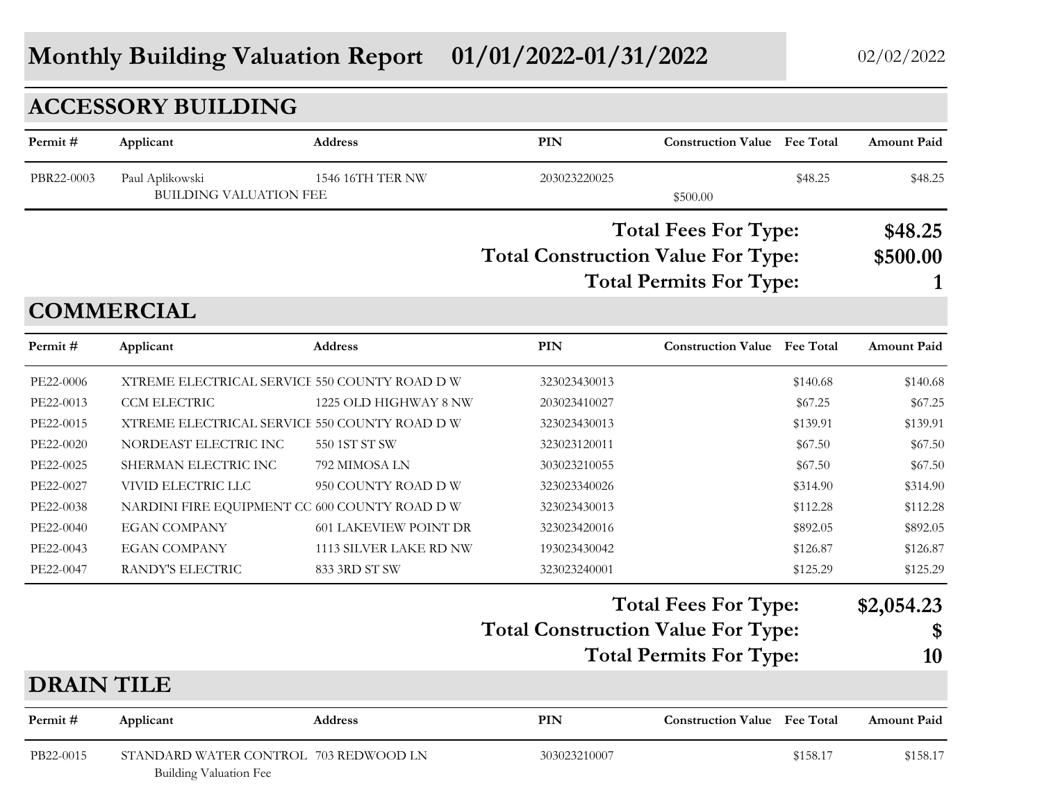# **Monthly Building Valuation Report** 01/01/2022-01/31/2022 02/02/2022 02/02/2022

|                   | <b>ACCESSORY BUILDING</b>                                              |                              |                                           |                                     |          |                    |
|-------------------|------------------------------------------------------------------------|------------------------------|-------------------------------------------|-------------------------------------|----------|--------------------|
| Permit#           | Applicant                                                              | Address                      | <b>PIN</b>                                | <b>Construction Value</b> Fee Total |          | <b>Amount Paid</b> |
| PBR22-0003        | Paul Aplikowski<br>BUILDING VALUATION FEE                              | 1546 16TH TER NW             | 203023220025                              | \$500.00                            | \$48.25  | \$48.25            |
|                   |                                                                        |                              |                                           | <b>Total Fees For Type:</b>         |          | \$48.25            |
|                   |                                                                        |                              | <b>Total Construction Value For Type:</b> |                                     |          | \$500.00           |
|                   |                                                                        |                              |                                           | <b>Total Permits For Type:</b>      |          |                    |
|                   | <b>COMMERCIAL</b>                                                      |                              |                                           |                                     |          |                    |
| Permit#           | Applicant                                                              | Address                      | PIN                                       | <b>Construction Value</b> Fee Total |          | <b>Amount Paid</b> |
| PE22-0006         | XTREME ELECTRICAL SERVICE 550 COUNTY ROAD D W                          |                              | 323023430013                              |                                     | \$140.68 | \$140.68           |
| PE22-0013         | CCM ELECTRIC                                                           | 1225 OLD HIGHWAY 8 NW        | 203023410027                              |                                     | \$67.25  | \$67.25            |
| PE22-0015         | XTREME ELECTRICAL SERVICE 550 COUNTY ROAD D W                          |                              | 323023430013                              |                                     | \$139.91 | \$139.91           |
| PE22-0020         | NORDEAST ELECTRIC INC                                                  | 550 1ST ST SW                | 323023120011                              |                                     | \$67.50  | \$67.50            |
| PE22-0025         | SHERMAN ELECTRIC INC                                                   | 792 MIMOSA LN                | 303023210055                              |                                     | \$67.50  | \$67.50            |
| PE22-0027         | VIVID ELECTRIC LLC                                                     | 950 COUNTY ROAD D W          | 323023340026                              |                                     | \$314.90 | \$314.90           |
| PE22-0038         | NARDINI FIRE EQUIPMENT CC 600 COUNTY ROAD D W                          |                              | 323023430013                              |                                     | \$112.28 | \$112.28           |
| PE22-0040         | <b>EGAN COMPANY</b>                                                    | <b>601 LAKEVIEW POINT DR</b> | 323023420016                              |                                     | \$892.05 | \$892.05           |
| PE22-0043         | <b>EGAN COMPANY</b>                                                    | 1113 SILVER LAKE RD NW       | 193023430042                              |                                     | \$126.87 | \$126.87           |
| PE22-0047         | RANDY'S ELECTRIC                                                       | 833 3RD ST SW                | 323023240001                              |                                     | \$125.29 | \$125.29           |
|                   |                                                                        |                              |                                           | <b>Total Fees For Type:</b>         |          | \$2,054.23         |
|                   |                                                                        |                              | <b>Total Construction Value For Type:</b> |                                     |          | \$                 |
|                   |                                                                        |                              |                                           | <b>Total Permits For Type:</b>      |          | 10                 |
| <b>DRAIN TILE</b> |                                                                        |                              |                                           |                                     |          |                    |
| Permit#           | Applicant                                                              | <b>Address</b>               | PIN                                       | <b>Construction Value</b> Fee Total |          | Amount Paid        |
| PB22-0015         | STANDARD WATER CONTROL 703 REDWOOD LN<br><b>Building Valuation Fee</b> |                              | 303023210007                              |                                     | \$158.17 | \$158.17           |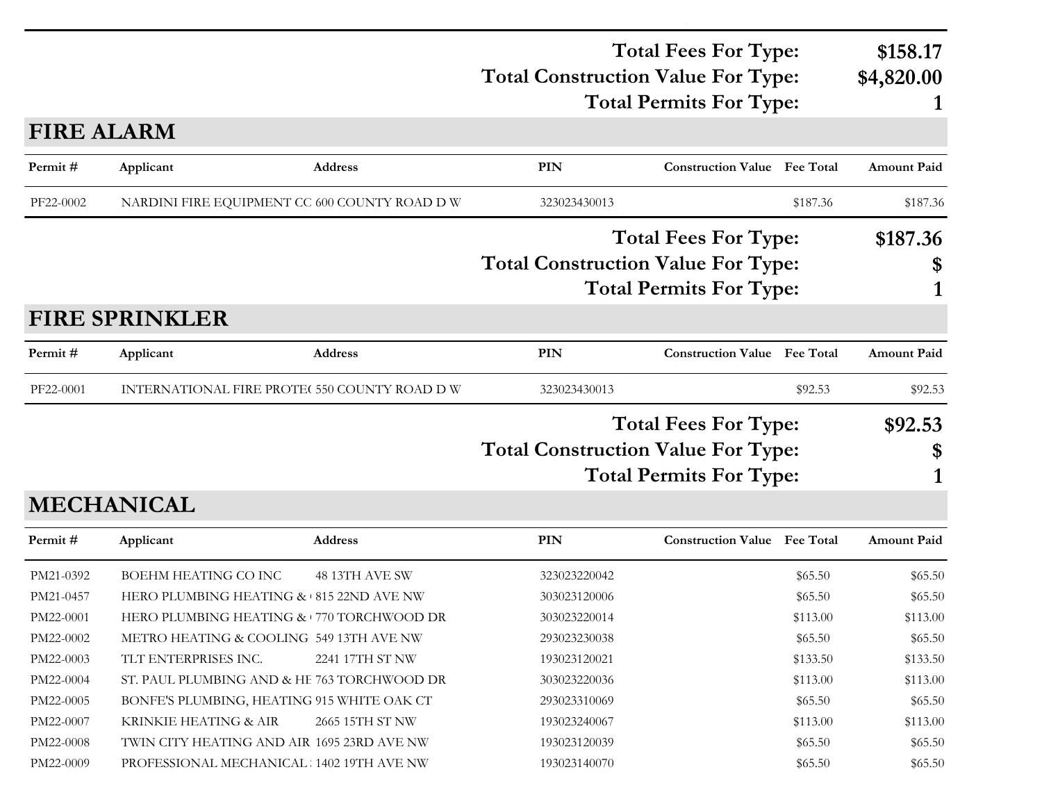#### **Total Construction Value For Type: \$4,820.00 Total Fees For Type: \$158.17 Total Permits For Type: 1**

# **FIRE ALARM**

| Permit#   | Applicant                                     | Address         | PIN                                                                                                        | <b>Construction Value</b> Fee Total                           |               | <b>Amount Paid</b> |
|-----------|-----------------------------------------------|-----------------|------------------------------------------------------------------------------------------------------------|---------------------------------------------------------------|---------------|--------------------|
| PF22-0002 | NARDINI FIRE EQUIPMENT CC 600 COUNTY ROAD D W |                 | 323023430013                                                                                               |                                                               | \$187.36      | \$187.36           |
|           |                                               |                 | <b>Total Construction Value For Type:</b>                                                                  | <b>Total Fees For Type:</b><br><b>Total Permits For Type:</b> |               | \$187.36<br>\$     |
|           | <b>FIRE SPRINKLER</b>                         |                 |                                                                                                            | 1                                                             |               |                    |
| Permit#   | Applicant                                     | <b>Address</b>  | <b>PIN</b>                                                                                                 | <b>Construction Value Fee Total</b>                           |               | <b>Amount Paid</b> |
| PF22-0001 | INTERNATIONAL FIRE PROTE( 550 COUNTY ROAD D W |                 | 323023430013                                                                                               |                                                               | \$92.53       | \$92.53            |
|           | <b>MECHANICAL</b>                             |                 | <b>Total Fees For Type:</b><br><b>Total Construction Value For Type:</b><br><b>Total Permits For Type:</b> |                                                               | \$92.53<br>\$ |                    |
| Permit#   | Applicant                                     | <b>Address</b>  | <b>PIN</b>                                                                                                 | <b>Construction Value Fee Total</b>                           |               | <b>Amount Paid</b> |
| PM21-0392 | <b>BOEHM HEATING CO INC</b>                   | 48 13TH AVE SW  | 323023220042                                                                                               |                                                               | \$65.50       | \$65.50            |
| PM21-0457 | HERO PLUMBING HEATING & 815 22ND AVE NW       |                 | 303023120006                                                                                               |                                                               | \$65.50       | \$65.50            |
| PM22-0001 | HERO PLUMBING HEATING & 770 TORCHWOOD DR      |                 | 303023220014                                                                                               |                                                               | \$113.00      | \$113.00           |
| PM22-0002 | METRO HEATING & COOLING 549 13TH AVE NW       |                 | 293023230038                                                                                               |                                                               | \$65.50       | \$65.50            |
| PM22-0003 | TLT ENTERPRISES INC.                          | 2241 17TH ST NW | 193023120021                                                                                               |                                                               | \$133.50      | \$133.50           |
| PM22-0004 | ST. PAUL PLUMBING AND & HE 763 TORCHWOOD DR   |                 | 303023220036                                                                                               |                                                               | \$113.00      | \$113.00           |
| PM22-0005 | BONFE'S PLUMBING, HEATING 915 WHITE OAK CT    |                 | 293023310069                                                                                               |                                                               | \$65.50       | \$65.50            |
| PM22-0007 | KRINKIE HEATING & AIR                         | 2665 15TH ST NW | 193023240067                                                                                               |                                                               | \$113.00      | \$113.00           |
| PM22-0008 | TWIN CITY HEATING AND AIR 1695 23RD AVE NW    |                 | 193023120039                                                                                               |                                                               | \$65.50       | \$65.50            |
| PM22-0009 | PROFESSIONAL MECHANICAL 1402 19TH AVE NW      |                 | 193023140070                                                                                               |                                                               | \$65.50       | \$65.50            |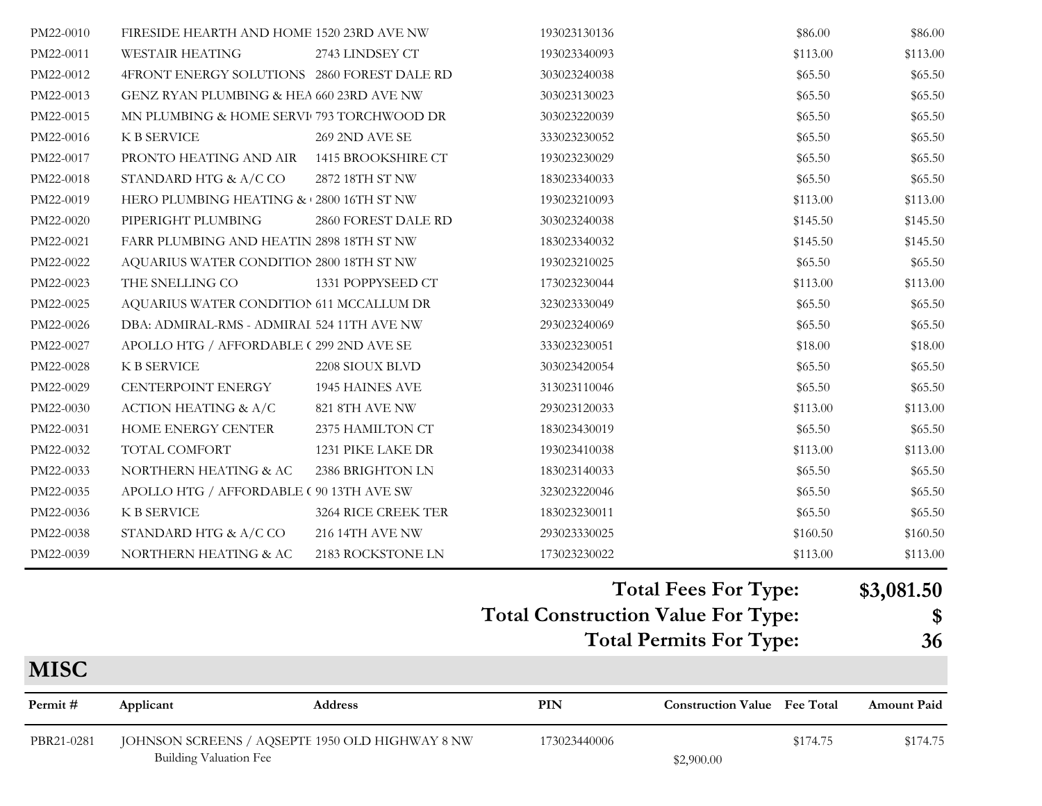| PBR21-0281             | JOHNSON SCREENS / AQSEPTE 1950 OLD HIGHWAY 8 NW |                                      | 173023440006                                     | \$174.75                            | \$174.75           |
|------------------------|-------------------------------------------------|--------------------------------------|--------------------------------------------------|-------------------------------------|--------------------|
| Permit#                | Applicant                                       | Address                              | PIN                                              | <b>Construction Value</b> Fee Total | <b>Amount Paid</b> |
| <b>MISC</b>            |                                                 |                                      |                                                  |                                     |                    |
|                        |                                                 |                                      |                                                  | <b>Total Permits For Type:</b>      | 36                 |
|                        |                                                 |                                      | <b>Total Construction Value For Type:</b>        |                                     | \$                 |
|                        |                                                 |                                      | $\mathbf{\mathbf{\mathbf{\mathbf{\mathbf{H}}}}}$ |                                     |                    |
|                        |                                                 |                                      |                                                  | <b>Total Fees For Type:</b>         | \$3,081.50         |
| PM22-0039              | NORTHERN HEATING & AC                           | 2183 ROCKSTONE LN                    | 173023230022                                     | \$113.00                            | \$113.00           |
| PM22-0038              | STANDARD HTG & A/C CO                           | 216 14TH AVE NW                      | 293023330025                                     | \$160.50                            | \$160.50           |
| PM22-0036              | K B SERVICE                                     | 3264 RICE CREEK TER                  | 183023230011                                     | \$65.50                             | \$65.50            |
| PM22-0035              | APOLLO HTG / AFFORDABLE ( 90 13TH AVE SW        |                                      | 323023220046                                     | \$65.50                             | \$65.50            |
| PM22-0033              | NORTHERN HEATING & AC                           | 2386 BRIGHTON LN                     | 183023140033                                     | \$65.50                             | \$65.50            |
| PM22-0032              | TOTAL COMFORT                                   | 1231 PIKE LAKE DR                    | 193023410038                                     | \$113.00                            | \$113.00           |
| PM22-0031              | HOME ENERGY CENTER                              | 2375 HAMILTON CT                     | 183023430019                                     | \$65.50                             | \$65.50            |
| PM22-0030              | <b>ACTION HEATING &amp; A/C</b>                 | 821 8TH AVE NW                       | 293023120033                                     | \$113.00                            | \$113.00           |
| PM22-0029              | CENTERPOINT ENERGY                              | 1945 HAINES AVE                      | 313023110046                                     | \$65.50                             | \$65.50            |
| PM22-0028              | K B SERVICE                                     | 2208 SIOUX BLVD                      | 303023420054                                     | \$65.50                             | \$65.50            |
| PM22-0027              | APOLLO HTG / AFFORDABLE (299 2ND AVE SE         |                                      | 333023230051                                     | \$18.00                             | \$18.00            |
| PM22-0026              | DBA: ADMIRAL-RMS - ADMIRAI 524 11TH AVE NW      |                                      | 293023240069                                     | \$65.50                             | \$65.50            |
| PM22-0025              | AQUARIUS WATER CONDITION 611 MCCALLUM DR        |                                      | 323023330049                                     | \$65.50                             | \$65.50            |
| PM22-0023              | THE SNELLING CO                                 | 1331 POPPYSEED CT                    | 173023230044                                     | \$113.00                            | \$113.00           |
| PM22-0022              | AQUARIUS WATER CONDITION 2800 18TH ST NW        |                                      | 193023210025                                     | \$65.50                             | \$65.50            |
| PM22-0021              | FARR PLUMBING AND HEATIN 2898 18TH ST NW        |                                      | 183023340032                                     | \$145.50                            | \$145.50           |
| PM22-0020              | PIPERIGHT PLUMBING                              | 2860 FOREST DALE RD                  | 303023240038                                     | \$145.50                            | \$145.50           |
| PM22-0019              | HERO PLUMBING HEATING & 2800 16TH ST NW         |                                      | 183023340033<br>193023210093                     | \$113.00                            | \$113.00           |
| PM22-0017<br>PM22-0018 | STANDARD HTG & A/C CO                           | 2872 18TH ST NW                      | 193023230029                                     | \$65.50<br>\$65.50                  | \$65.50<br>\$65.50 |
| PM22-0016              | K B SERVICE<br>PRONTO HEATING AND AIR           | 269 2ND AVE SE<br>1415 BROOKSHIRE CT | 333023230052                                     | \$65.50                             | \$65.50            |
| PM22-0015              | MN PLUMBING & HOME SERVI 793 TORCHWOOD DR       |                                      | 303023220039                                     | \$65.50                             | \$65.50            |
| PM22-0013              | GENZ RYAN PLUMBING & HEA 660 23RD AVE NW        |                                      | 303023130023                                     | \$65.50                             | \$65.50            |
| PM22-0012              | 4FRONT ENERGY SOLUTIONS 2860 FOREST DALE RD     |                                      | 303023240038                                     | \$65.50                             | \$65.50            |
| PM22-0011              | <b>WESTAIR HEATING</b>                          | 2743 LINDSEY CT                      | 193023340093                                     | \$113.00                            | \$113.00           |
| PM22-0010              | FIRESIDE HEARTH AND HOME 1520 23RD AVE NW       |                                      | 193023130136                                     | \$86.00                             | \$86.00            |
|                        |                                                 |                                      |                                                  |                                     |                    |

Building Valuation Fee  $$2,900.00$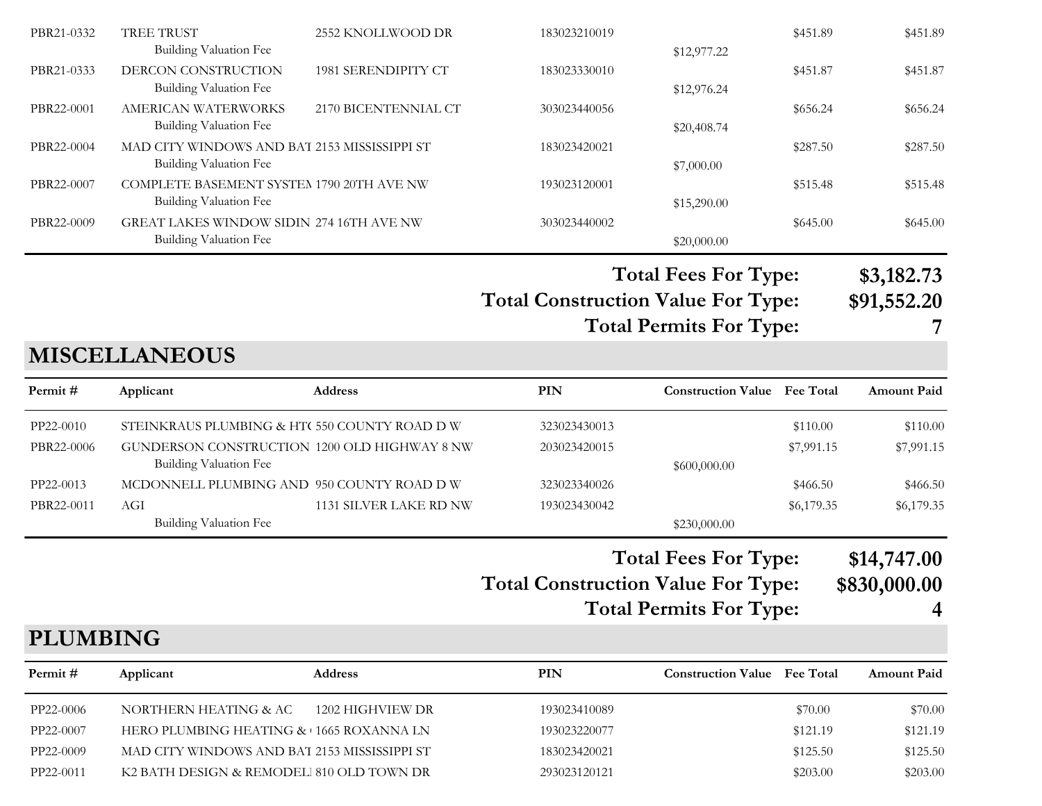| PBR21-0332 | <b>TREE TRUST</b>                            | 2552 KNOLLWOOD DR    | 183023210019 |             | \$451.89 | \$451.89 |
|------------|----------------------------------------------|----------------------|--------------|-------------|----------|----------|
|            | <b>Building Valuation Fee</b>                |                      |              | \$12,977.22 |          |          |
| PBR21-0333 | DERCON CONSTRUCTION                          | 1981 SERENDIPITY CT  | 183023330010 |             | \$451.87 | \$451.87 |
|            | <b>Building Valuation Fee</b>                |                      |              | \$12,976.24 |          |          |
| PBR22-0001 | AMERICAN WATERWORKS                          | 2170 BICENTENNIAL CT | 303023440056 |             | \$656.24 | \$656.24 |
|            | <b>Building Valuation Fee</b>                |                      |              | \$20,408.74 |          |          |
| PBR22-0004 | MAD CITY WINDOWS AND BAT 2153 MISSISSIPPI ST |                      | 183023420021 |             | \$287.50 | \$287.50 |
|            | <b>Building Valuation Fee</b>                |                      |              | \$7,000.00  |          |          |
| PBR22-0007 | COMPLETE BASEMENT SYSTEM 1790 20TH AVE NW    |                      | 193023120001 |             | \$515.48 | \$515.48 |
|            | <b>Building Valuation Fee</b>                |                      |              | \$15,290.00 |          |          |
| PBR22-0009 | GREAT LAKES WINDOW SIDIN 274 16TH AVE NW     |                      | 303023440002 |             | \$645.00 | \$645.00 |
|            | <b>Building Valuation Fee</b>                |                      |              | \$20,000.00 |          |          |
|            |                                              |                      |              |             |          |          |

**Total Fees For Type: \$3,182.73**

**Total Construction Value For Type: \$91,552.20 Total Permits For Type: 7**

# **MISCELLANEOUS**

| Permit #   | Applicant                                    | <b>Address</b>         | PIN          | <b>Construction Value</b> Fee Total |            | <b>Amount Paid</b> |
|------------|----------------------------------------------|------------------------|--------------|-------------------------------------|------------|--------------------|
| PP22-0010  | STEINKRAUS PLUMBING & HT(550 COUNTY ROAD D W |                        | 323023430013 |                                     | \$110.00   | \$110.00           |
| PBR22-0006 | GUNDERSON CONSTRUCTION 1200 OLD HIGHWAY 8 NW |                        | 203023420015 |                                     | \$7,991.15 | \$7,991.15         |
|            | Building Valuation Fee                       |                        |              | \$600,000.00                        |            |                    |
| PP22-0013  | MCDONNELL PLUMBING AND 950 COUNTY ROAD D W   |                        | 323023340026 |                                     | \$466.50   | \$466.50           |
| PBR22-0011 | AGI                                          | 1131 SILVER LAKE RD NW | 193023430042 |                                     | \$6,179.35 | \$6,179.35         |
|            | <b>Building Valuation Fee</b>                |                        |              | \$230,000.00                        |            |                    |
|            |                                              |                        |              |                                     |            |                    |

#### **Total Construction Value For Type: \$830,000.00 Total Fees For Type: \$14,747.00 Total Permits For Type: 4**

#### **PLUMBING**

| Permit #  | Applicant                                    | <b>Address</b>   | PIN          | <b>Construction Value</b> Fee Total |          | <b>Amount Paid</b> |
|-----------|----------------------------------------------|------------------|--------------|-------------------------------------|----------|--------------------|
| PP22-0006 | NORTHERN HEATING & AC                        | 1202 HIGHVIEW DR | 193023410089 |                                     | \$70.00  | \$70.00            |
| PP22-0007 | HERO PLUMBING HEATING & 1665 ROXANNA LN      |                  | 193023220077 |                                     | \$121.19 | \$121.19           |
| PP22-0009 | MAD CITY WINDOWS AND BAT 2153 MISSISSIPPI ST |                  | 183023420021 |                                     | \$125.50 | \$125.50           |
| PP22-0011 | K2 BATH DESIGN & REMODEL 810 OLD TOWN DR     |                  | 293023120121 |                                     | \$203.00 | \$203.00           |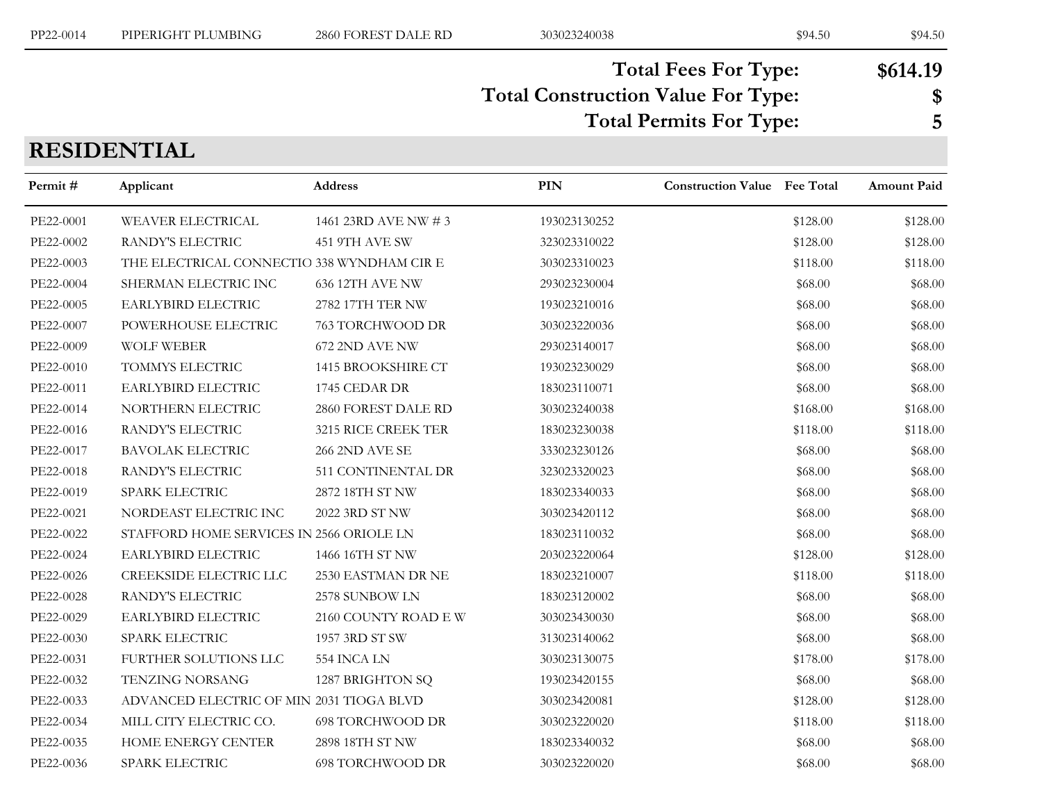# **Total Construction Value For Type: \$ Total Fees For Type: \$614.19 Total Permits For Type: 5**

**RESIDENTIAL**

| Permit#   | Applicant                                  | Address                 | <b>PIN</b>   | <b>Construction Value</b> Fee Total |          | Amount Paid |
|-----------|--------------------------------------------|-------------------------|--------------|-------------------------------------|----------|-------------|
| PE22-0001 | WEAVER ELECTRICAL                          | 1461 23RD AVE NW # 3    | 193023130252 |                                     | \$128.00 | \$128.00    |
| PE22-0002 | RANDY'S ELECTRIC                           | 451 9TH AVE SW          | 323023310022 |                                     | \$128.00 | \$128.00    |
| PE22-0003 | THE ELECTRICAL CONNECTIO 338 WYNDHAM CIR E |                         | 303023310023 |                                     | \$118.00 | \$118.00    |
| PE22-0004 | SHERMAN ELECTRIC INC                       | 636 12TH AVE NW         | 293023230004 |                                     | \$68.00  | \$68.00     |
| PE22-0005 | EARLYBIRD ELECTRIC                         | 2782 17TH TER NW        | 193023210016 |                                     | \$68.00  | \$68.00     |
| PE22-0007 | POWERHOUSE ELECTRIC                        | 763 TORCHWOOD DR        | 303023220036 |                                     | \$68.00  | \$68.00     |
| PE22-0009 | <b>WOLF WEBER</b>                          | 672 2ND AVE NW          | 293023140017 |                                     | \$68.00  | \$68.00     |
| PE22-0010 | TOMMYS ELECTRIC                            | 1415 BROOKSHIRE CT      | 193023230029 |                                     | \$68.00  | \$68.00     |
| PE22-0011 | EARLYBIRD ELECTRIC                         | 1745 CEDAR DR           | 183023110071 |                                     | \$68.00  | \$68.00     |
| PE22-0014 | NORTHERN ELECTRIC                          | 2860 FOREST DALE RD     | 303023240038 |                                     | \$168.00 | \$168.00    |
| PE22-0016 | RANDY'S ELECTRIC                           | 3215 RICE CREEK TER     | 183023230038 |                                     | \$118.00 | \$118.00    |
| PE22-0017 | <b>BAVOLAK ELECTRIC</b>                    | <b>266 2ND AVE SE</b>   | 333023230126 |                                     | \$68.00  | \$68.00     |
| PE22-0018 | RANDY'S ELECTRIC                           | 511 CONTINENTAL DR      | 323023320023 |                                     | \$68.00  | \$68.00     |
| PE22-0019 | SPARK ELECTRIC                             | 2872 18TH ST NW         | 183023340033 |                                     | \$68.00  | \$68.00     |
| PE22-0021 | NORDEAST ELECTRIC INC                      | 2022 3RD ST NW          | 303023420112 |                                     | \$68.00  | \$68.00     |
| PE22-0022 | STAFFORD HOME SERVICES IN 2566 ORIOLE LN   |                         | 183023110032 |                                     | \$68.00  | \$68.00     |
| PE22-0024 | EARLYBIRD ELECTRIC                         | 1466 16TH ST NW         | 203023220064 |                                     | \$128.00 | \$128.00    |
| PE22-0026 | CREEKSIDE ELECTRIC LLC                     | 2530 EASTMAN DR NE      | 183023210007 |                                     | \$118.00 | \$118.00    |
| PE22-0028 | RANDY'S ELECTRIC                           | 2578 SUNBOW LN          | 183023120002 |                                     | \$68.00  | \$68.00     |
| PE22-0029 | EARLYBIRD ELECTRIC                         | 2160 COUNTY ROAD E W    | 303023430030 |                                     | \$68.00  | \$68.00     |
| PE22-0030 | SPARK ELECTRIC                             | 1957 3RD ST SW          | 313023140062 |                                     | \$68.00  | \$68.00     |
| PE22-0031 | FURTHER SOLUTIONS LLC                      | 554 INCA LN             | 303023130075 |                                     | \$178.00 | \$178.00    |
| PE22-0032 | TENZING NORSANG                            | 1287 BRIGHTON SQ        | 193023420155 |                                     | \$68.00  | \$68.00     |
| PE22-0033 | ADVANCED ELECTRIC OF MIN 2031 TIOGA BLVD   |                         | 303023420081 |                                     | \$128.00 | \$128.00    |
| PE22-0034 | MILL CITY ELECTRIC CO.                     | <b>698 TORCHWOOD DR</b> | 303023220020 |                                     | \$118.00 | \$118.00    |
| PE22-0035 | HOME ENERGY CENTER                         | 2898 18TH ST NW         | 183023340032 |                                     | \$68.00  | \$68.00     |
| PE22-0036 | SPARK ELECTRIC                             | <b>698 TORCHWOOD DR</b> | 303023220020 |                                     | \$68.00  | \$68.00     |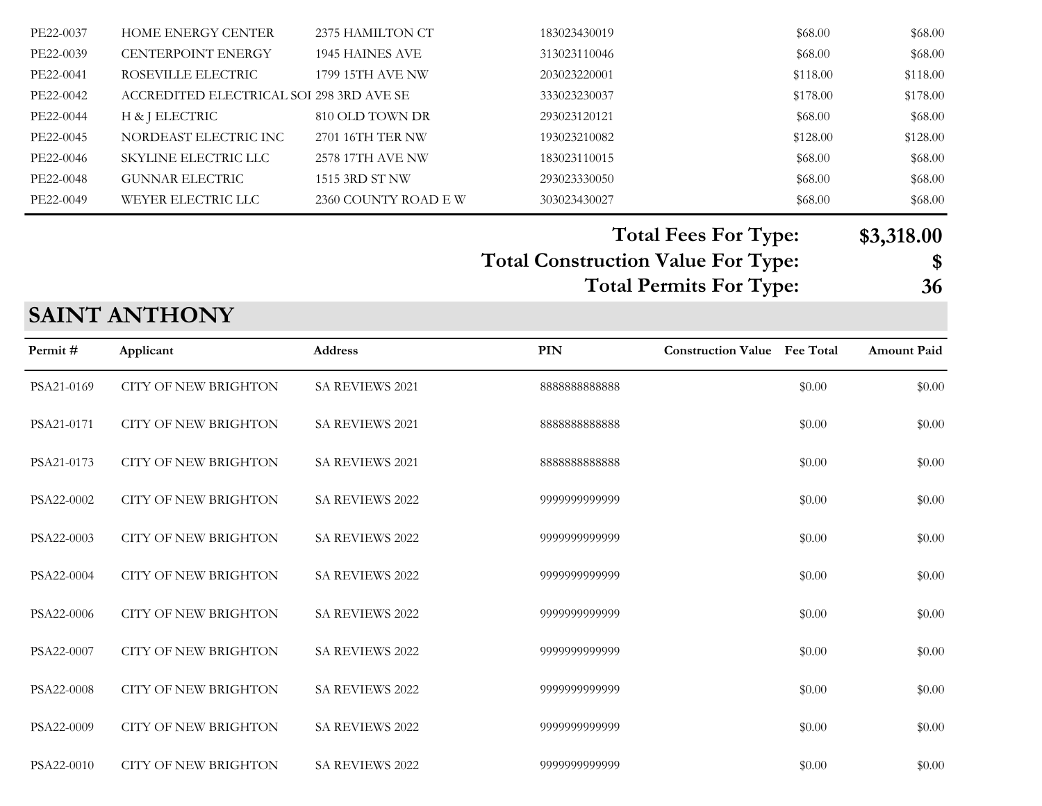| PE22-0037 | <b>HOME ENERGY CENTER</b>                | 2375 HAMILTON CT    | 183023430019 | \$68.00  | \$68.00  |
|-----------|------------------------------------------|---------------------|--------------|----------|----------|
| PE22-0039 | <b>CENTERPOINT ENERGY</b>                | 1945 HAINES AVE     | 313023110046 | \$68.00  | \$68.00  |
| PE22-0041 | ROSEVILLE ELECTRIC                       | 1799 15TH AVE NW    | 203023220001 | \$118.00 | \$118.00 |
| PE22-0042 | ACCREDITED ELECTRICAL SOI 298 3RD AVE SE |                     | 333023230037 | \$178.00 | \$178.00 |
| PE22-0044 | H & J ELECTRIC                           | 810 OLD TOWN DR     | 293023120121 | \$68.00  | \$68.00  |
| PE22-0045 | NORDEAST ELECTRIC INC                    | 2701 16TH TER NW    | 193023210082 | \$128.00 | \$128.00 |
| PE22-0046 | SKYLINE ELECTRIC LLC                     | 2578 17TH AVE NW    | 183023110015 | \$68.00  | \$68.00  |
| PE22-0048 | <b>GUNNAR ELECTRIC</b>                   | 1515 3RD ST NW      | 293023330050 | \$68.00  | \$68.00  |
| PE22-0049 | WEYER ELECTRIC LLC                       | 2360 COUNTY ROAD EW | 303023430027 | \$68.00  | \$68.00  |
|           |                                          |                     |              |          |          |

**Total Construction Value For Type: \$ Total Fees For Type: \$3,318.00 Total Permits For Type: 36**

## **SAINT ANTHONY**

| Permit#    | Applicant                   | <b>Address</b>         | PIN           | <b>Construction Value</b> Fee Total |        | <b>Amount Paid</b> |
|------------|-----------------------------|------------------------|---------------|-------------------------------------|--------|--------------------|
| PSA21-0169 | <b>CITY OF NEW BRIGHTON</b> | <b>SA REVIEWS 2021</b> | 888888888888  |                                     | \$0.00 | \$0.00             |
| PSA21-0171 | <b>CITY OF NEW BRIGHTON</b> | SA REVIEWS 2021        | 888888888888  |                                     | \$0.00 | \$0.00             |
| PSA21-0173 | <b>CITY OF NEW BRIGHTON</b> | <b>SA REVIEWS 2021</b> | 888888888888  |                                     | \$0.00 | \$0.00             |
| PSA22-0002 | <b>CITY OF NEW BRIGHTON</b> | <b>SA REVIEWS 2022</b> | 9999999999999 |                                     | \$0.00 | \$0.00             |
| PSA22-0003 | <b>CITY OF NEW BRIGHTON</b> | <b>SA REVIEWS 2022</b> | 9999999999999 |                                     | \$0.00 | \$0.00             |
| PSA22-0004 | <b>CITY OF NEW BRIGHTON</b> | SA REVIEWS 2022        | 9999999999999 |                                     | \$0.00 | \$0.00             |
| PSA22-0006 | <b>CITY OF NEW BRIGHTON</b> | <b>SA REVIEWS 2022</b> | 9999999999999 |                                     | \$0.00 | \$0.00             |
| PSA22-0007 | <b>CITY OF NEW BRIGHTON</b> | SA REVIEWS 2022        | 9999999999999 |                                     | \$0.00 | \$0.00             |
| PSA22-0008 | <b>CITY OF NEW BRIGHTON</b> | SA REVIEWS 2022        | 9999999999999 |                                     | \$0.00 | \$0.00             |
| PSA22-0009 | <b>CITY OF NEW BRIGHTON</b> | SA REVIEWS 2022        | 9999999999999 |                                     | \$0.00 | \$0.00             |
| PSA22-0010 | <b>CITY OF NEW BRIGHTON</b> | SA REVIEWS 2022        | 9999999999999 |                                     | \$0.00 | \$0.00             |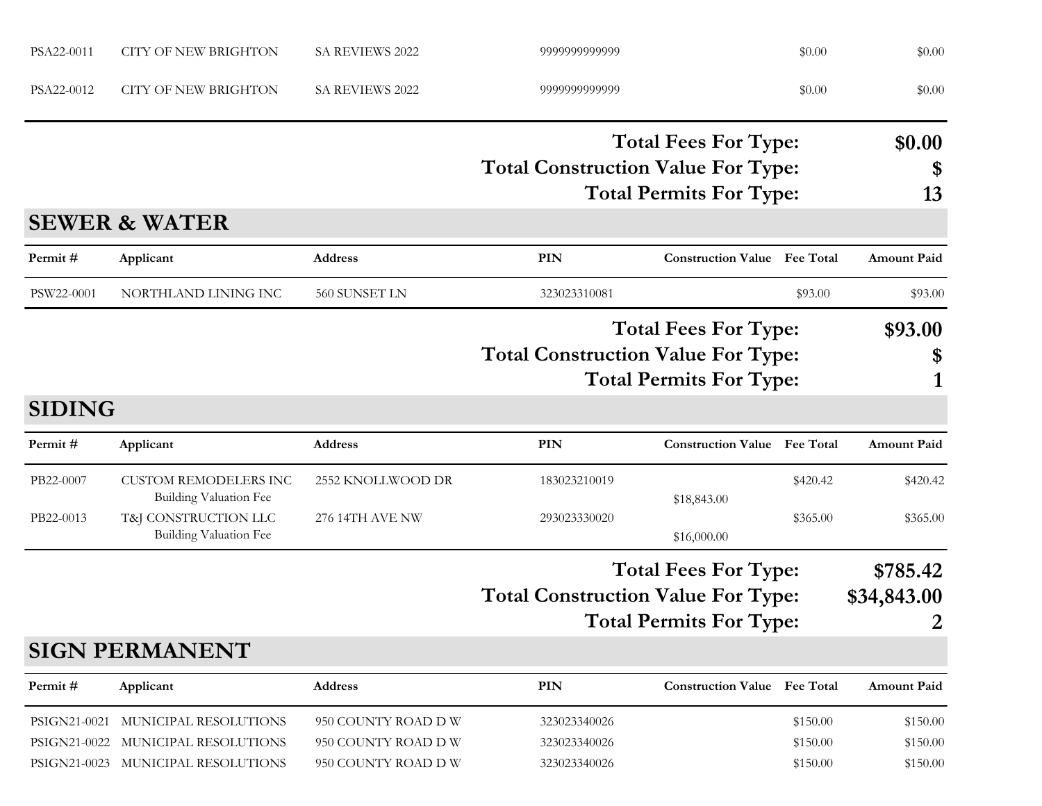| PSA22-0011    | <b>CITY OF NEW BRIGHTON</b>                                   | <b>SA REVIEWS 2022</b> | 9999999999999                             |                                           | \$0.00   | \$0.00             |
|---------------|---------------------------------------------------------------|------------------------|-------------------------------------------|-------------------------------------------|----------|--------------------|
| PSA22-0012    | <b>CITY OF NEW BRIGHTON</b>                                   | SA REVIEWS 2022        | 9999999999999                             |                                           | \$0.00   | \$0.00             |
|               |                                                               |                        |                                           | <b>Total Fees For Type:</b>               |          | \$0.00             |
|               |                                                               |                        | <b>Total Construction Value For Type:</b> |                                           |          | \$                 |
|               |                                                               |                        |                                           | <b>Total Permits For Type:</b>            |          | 13                 |
|               | <b>SEWER &amp; WATER</b>                                      |                        |                                           |                                           |          |                    |
| Permit#       | Applicant                                                     | <b>Address</b>         | <b>PIN</b>                                | <b>Construction Value</b> Fee Total       |          | <b>Amount Paid</b> |
| PSW22-0001    | NORTHLAND LINING INC                                          | 560 SUNSET LN          | 323023310081                              |                                           | \$93.00  | \$93.00            |
|               |                                                               |                        |                                           | <b>Total Fees For Type:</b>               |          |                    |
|               |                                                               |                        |                                           | <b>Total Construction Value For Type:</b> |          |                    |
|               |                                                               |                        |                                           | <b>Total Permits For Type:</b>            |          | \$<br>1            |
| <b>SIDING</b> |                                                               |                        |                                           |                                           |          |                    |
| Permit#       | Applicant                                                     | Address                | PIN                                       | <b>Construction Value</b> Fee Total       |          | <b>Amount Paid</b> |
| PB22-0007     | <b>CUSTOM REMODELERS INC</b><br><b>Building Valuation Fee</b> | 2552 KNOLLWOOD DR      | 183023210019                              |                                           | \$420.42 | \$420.42           |
| PB22-0013     | T&J CONSTRUCTION LLC                                          | 276 14TH AVE NW        | 293023330020                              | \$18,843.00                               | \$365.00 | \$365.00           |
|               | <b>Building Valuation Fee</b>                                 |                        |                                           | \$16,000.00                               |          |                    |
|               |                                                               |                        |                                           | <b>Total Fees For Type:</b>               |          | \$785.42           |
|               |                                                               |                        | <b>Total Construction Value For Type:</b> |                                           |          | \$34,843.00        |
|               |                                                               |                        |                                           | <b>Total Permits For Type:</b>            |          | $\overline{2}$     |
|               | <b>SIGN PERMANENT</b>                                         |                        |                                           |                                           |          |                    |
| Permit#       | Applicant                                                     | Address                | <b>PIN</b>                                | <b>Construction Value</b> Fee Total       |          | <b>Amount Paid</b> |
| PSIGN21-0021  | MUNICIPAL RESOLUTIONS                                         | 950 COUNTY ROAD D W    | 323023340026                              |                                           | \$150.00 | \$150.00           |
| PSIGN21-0022  | MUNICIPAL RESOLUTIONS                                         | 950 COUNTY ROAD D W    | 323023340026                              |                                           | \$150.00 | \$150.00           |
|               | PSIGN21-0023 MUNICIPAL RESOLUTIONS                            | 950 COUNTY ROAD DW     | 323023340026                              |                                           | \$150.00 | \$150.00           |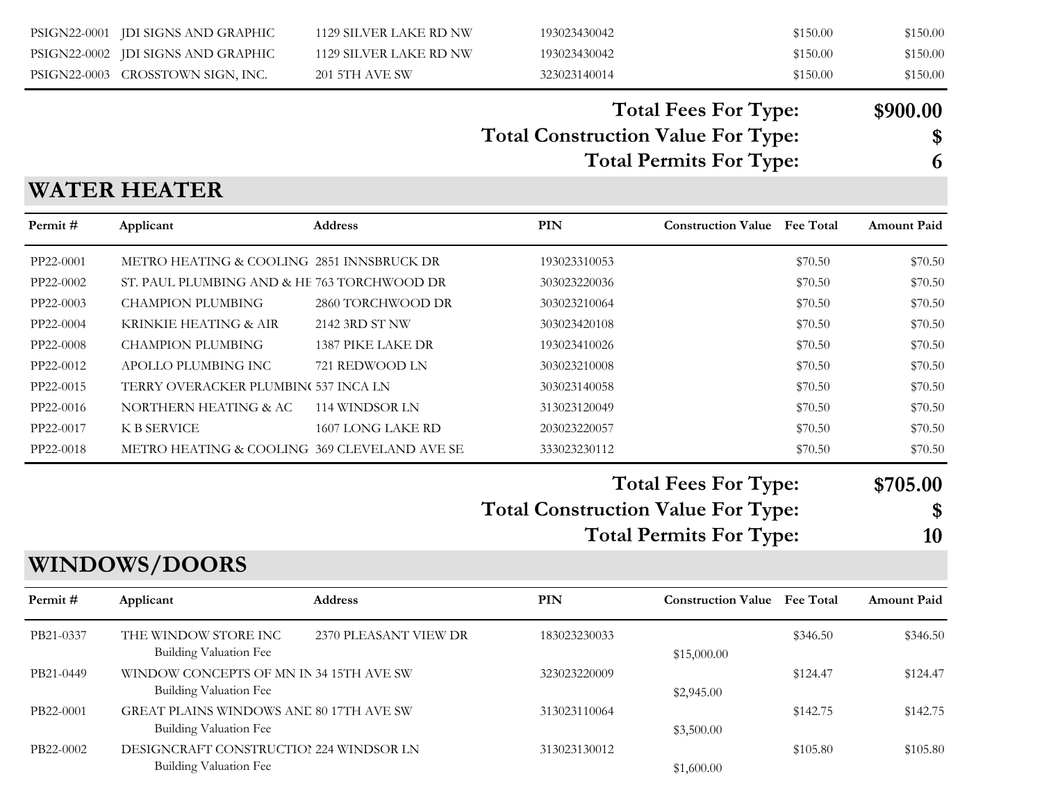|           | PSIGN22-0001 JDI SIGNS AND GRAPHIC                                | 1129 SILVER LAKE RD NW | 193023430042                              |                                     | \$150.00 | \$150.00           |
|-----------|-------------------------------------------------------------------|------------------------|-------------------------------------------|-------------------------------------|----------|--------------------|
|           | PSIGN22-0002 JDI SIGNS AND GRAPHIC                                | 1129 SILVER LAKE RD NW | 193023430042                              |                                     | \$150.00 | \$150.00           |
|           | PSIGN22-0003 CROSSTOWN SIGN, INC.                                 | <b>201 5TH AVE SW</b>  | 323023140014                              |                                     | \$150.00 | \$150.00           |
|           |                                                                   |                        |                                           | <b>Total Fees For Type:</b>         |          | \$900.00           |
|           |                                                                   |                        | <b>Total Construction Value For Type:</b> |                                     | \$       |                    |
|           |                                                                   |                        |                                           |                                     | 6        |                    |
|           |                                                                   |                        |                                           | <b>Total Permits For Type:</b>      |          |                    |
|           | <b>WATER HEATER</b>                                               |                        |                                           |                                     |          |                    |
| Permit#   | Applicant                                                         | <b>Address</b>         | PIN                                       | <b>Construction Value Fee Total</b> |          | <b>Amount Paid</b> |
| PP22-0001 | METRO HEATING & COOLING 2851 INNSBRUCK DR                         |                        | 193023310053                              |                                     | \$70.50  | \$70.50            |
| PP22-0002 | ST. PAUL PLUMBING AND & HE 763 TORCHWOOD DR                       |                        | 303023220036                              |                                     | \$70.50  | \$70.50            |
| PP22-0003 | <b>CHAMPION PLUMBING</b>                                          | 2860 TORCHWOOD DR      | 303023210064                              |                                     | \$70.50  | \$70.50            |
| PP22-0004 | KRINKIE HEATING & AIR                                             | 2142 3RD ST NW         | 303023420108                              |                                     | \$70.50  | \$70.50            |
| PP22-0008 | <b>CHAMPION PLUMBING</b>                                          | 1387 PIKE LAKE DR      | 193023410026                              |                                     | \$70.50  | \$70.50            |
| PP22-0012 | APOLLO PLUMBING INC                                               | 721 REDWOOD LN         | 303023210008                              |                                     | \$70.50  | \$70.50            |
| PP22-0015 | TERRY OVERACKER PLUMBIN( 537 INCA LN                              |                        | 303023140058                              |                                     | \$70.50  | \$70.50            |
| PP22-0016 | NORTHERN HEATING & AC                                             | 114 WINDSOR LN         | 313023120049                              |                                     | \$70.50  | \$70.50            |
| PP22-0017 | <b>K B SERVICE</b>                                                | 1607 LONG LAKE RD      | 203023220057                              |                                     | \$70.50  | \$70.50            |
| PP22-0018 | METRO HEATING & COOLING 369 CLEVELAND AVE SE                      |                        | 333023230112                              |                                     | \$70.50  | \$70.50            |
|           |                                                                   |                        |                                           | <b>Total Fees For Type:</b>         |          | \$705.00           |
|           |                                                                   |                        | <b>Total Construction Value For Type:</b> |                                     |          | \$                 |
|           |                                                                   |                        |                                           |                                     |          |                    |
|           |                                                                   |                        |                                           | <b>Total Permits For Type:</b>      |          | <b>10</b>          |
|           | <b>WINDOWS/DOORS</b>                                              |                        |                                           |                                     |          |                    |
| Permit#   | Applicant                                                         | Address                | PIN                                       | <b>Construction Value</b> Fee Total |          | <b>Amount Paid</b> |
| PB21-0337 | THE WINDOW STORE INC<br>Building Valuation Fee                    | 2370 PLEASANT VIEW DR  | 183023230033                              | \$15,000.00                         | \$346.50 | \$346.50           |
| PB21-0449 | WINDOW CONCEPTS OF MN IN 34 15TH AVE SW<br>Building Valuation Fee |                        | 323023220009                              | \$2,945.00                          | \$124.47 | \$124.47           |
| PB22-0001 | GREAT PLAINS WINDOWS AND 80 17TH AVE SW<br>Building Valuation Fee |                        | 313023110064                              | \$3,500.00                          | \$142.75 | \$142.75           |
| PB22-0002 | DESIGNCRAFT CONSTRUCTIOI 224 WINDSOR LN                           |                        | 313023130012                              |                                     | \$105.80 | \$105.80           |

Building Valuation Fee  $$1,600.00$